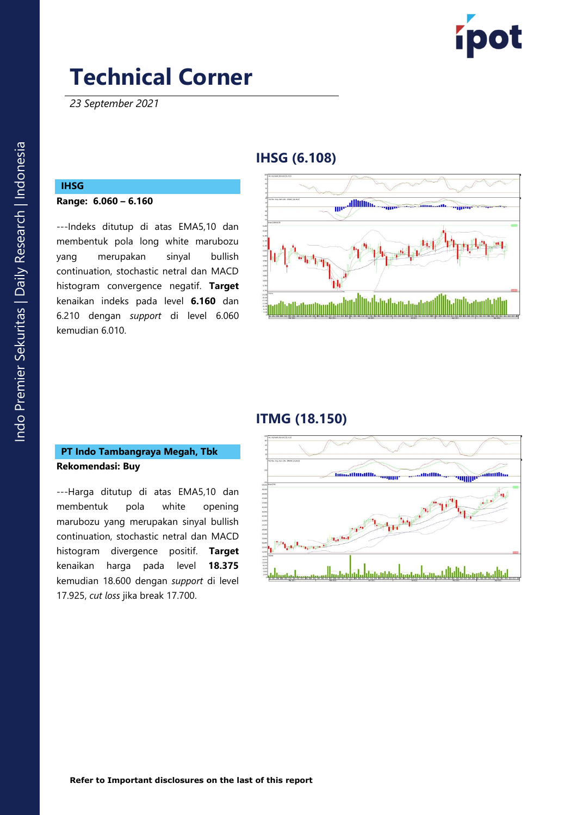

*23 September 2021*

## **IHSG (6. 108 )**

# **IHSG**

**Range: 6.06 0 – 6. 1 6 0**

---Indeks ditutup di atas EMA5,10 dan membentuk pola long white marubozu yang merupakan sinyal bullish continuation, stochastic netral dan MACD histogram convergence negatif. **Target** kenaikan indeks pada level **6.160** dan 6. 2 1 0 dengan *support* di level 6.060 kemudian 6 .01 0 .



# **ITMG (18.150 )**

### **PT Indo Tambangraya Megah, Tbk Rekomendasi: Buy**

---Harga ditutup di atas EMA5,10 dan membentuk pola white opening marubozu yang merupakan sinyal bullish continuation, stochastic netral dan MACD histogram divergence positif . **Target**  kenaikan harga pada level **18.375** kemudian 18.600 dengan *support* di level 17.925, *cut loss* jika break 17.700 .

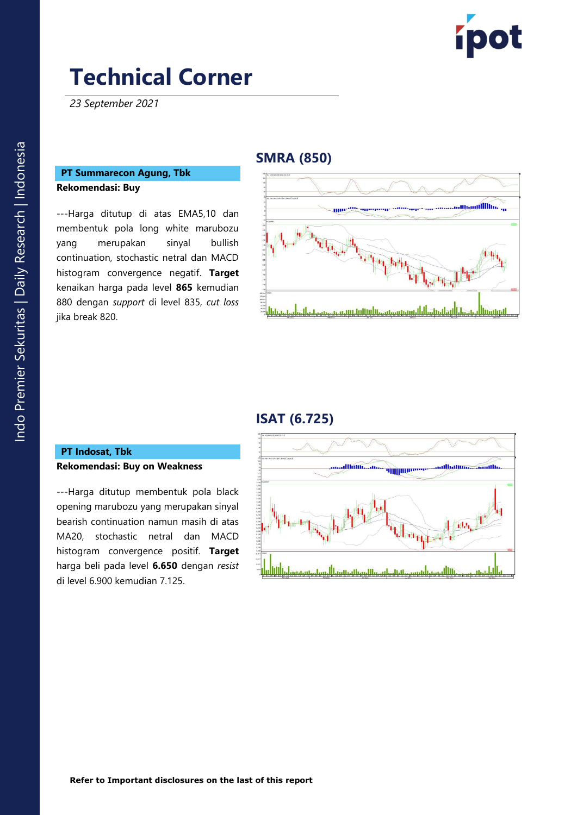

*23 September 2021*

#### **PT Summarecon Agung, Tbk Rekomendasi: Buy**

---Harga ditutup di atas EMA5,10 dan memb entuk pola long white marubozu yang merupakan sinyal bullish continuation, stochastic netral dan MACD histogram convergence negatif. **Target**  kenaikan harga pada level **865** kemudian 880 dengan *support* di level 835, *cut loss* jika break 820 .

### **SMRA (850 )**



### **ISAT ( 6.725 )**

#### **P T Indosat, Tbk Rekomendasi: Buy on Weakness**

---Harga ditutup membentuk pola black opening marubozu yang merupakan sinyal bearish continuation namun masih di atas MA20, stochastic netral dan MACD histogram convergence positif. **Target**  harga beli pada level **6.650** dengan *resist* di level 6.900 kemudian 7.125 .

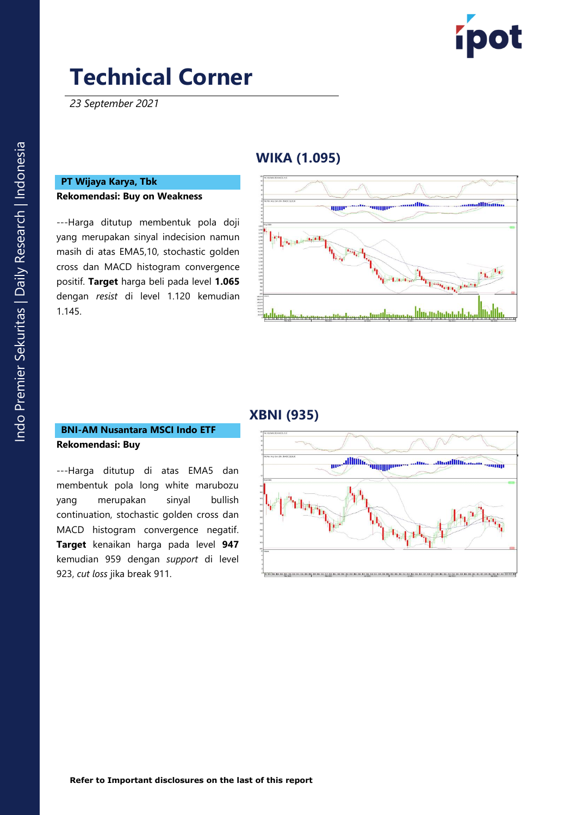

*23 September 2021*

# **WIKA (1.095 )**

#### **PT Wijaya Karya, Tbk Rekomendasi: Buy on Weakness**

---Harga ditutup membentuk pola doji yang merupakan sinyal indecision namun masih di atas EMA5,10, stochastic golden cross dan MACD histogram convergence positif. **Target** harga beli pada level **1.065** dengan *resist* di level 1.120 kemudian 1.145.



## **XBNI (935)**

#### **BNI -AM Nusantara MSCI Indo ETF Rekomendasi: Buy**

---Harga ditutup di atas EMA5 dan membentuk pola long white marubozu yang merupakan sinyal bullish continuation, stochastic golden cross dan MACD histogram convergence negatif. **Target** kenaikan harga pada level **947** kemudian 959 dengan *support* di level 923, *cut loss* jika break 911 .

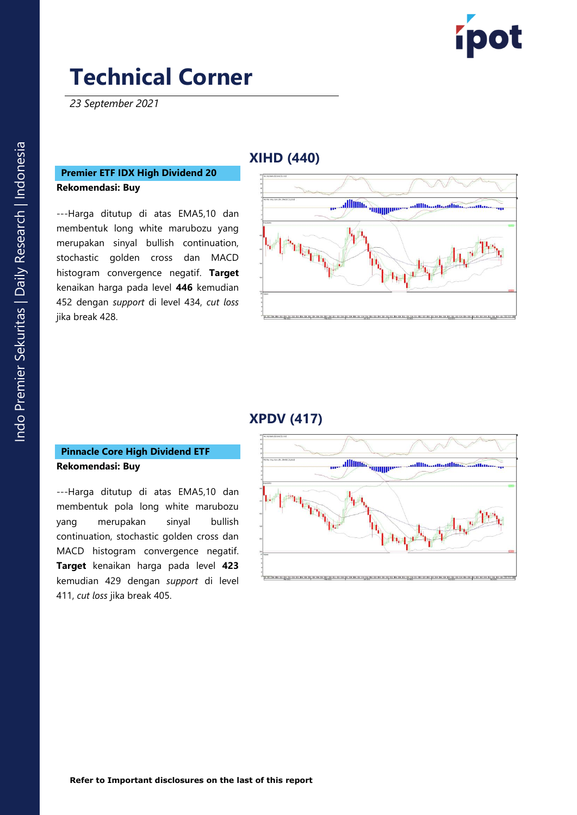

*23 September 2021*

### **Premier ETF IDX High Dividend 20 Rekomendasi: Buy**

---Harga ditutup di atas EMA5,10 dan membentuk long white marubozu yang merupakan sinyal bullish continuation, stochastic golden cross dan MACD histogram convergence negatif. **Target**  kenaikan harga pada level **446** kemudian 452 dengan *support* di level 434, *cut loss* jika break 428 .

## **XIHD (440 )**



## **X PDV (417)**

#### **Pinnacle Core High Dividend ETF Rekomendasi: Buy**

---Harga ditutup di atas EMA5,10 dan membentuk pola long white marubozu yang merupakan sinyal bullish continuation, stochastic golden cross dan MACD histogram convergence negatif. **Target** kenaikan harga pada level **423** kemudian 429 dengan *support* di level 411, *cut loss* jika break 405 .